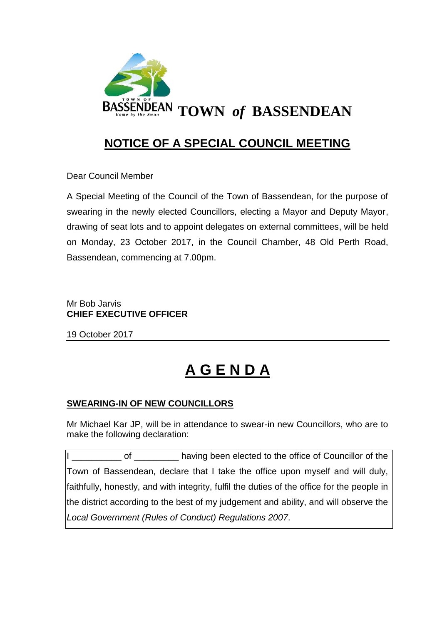

# **NOTICE OF A SPECIAL COUNCIL MEETING**

Dear Council Member

A Special Meeting of the Council of the Town of Bassendean, for the purpose of swearing in the newly elected Councillors, electing a Mayor and Deputy Mayor, drawing of seat lots and to appoint delegates on external committees, will be held on Monday, 23 October 2017, in the Council Chamber, 48 Old Perth Road, Bassendean, commencing at 7.00pm.

# Mr Bob Jarvis **CHIEF EXECUTIVE OFFICER**

19 October 2017

# **A G E N D A**

# **SWEARING-IN OF NEW COUNCILLORS**

Mr Michael Kar JP, will be in attendance to swear-in new Councillors, who are to make the following declaration:

of \_\_\_\_\_\_\_\_\_\_ having been elected to the office of Councillor of the Town of Bassendean, declare that I take the office upon myself and will duly, faithfully, honestly, and with integrity, fulfil the duties of the office for the people in the district according to the best of my judgement and ability, and will observe the *Local Government (Rules of Conduct) Regulations 2007*.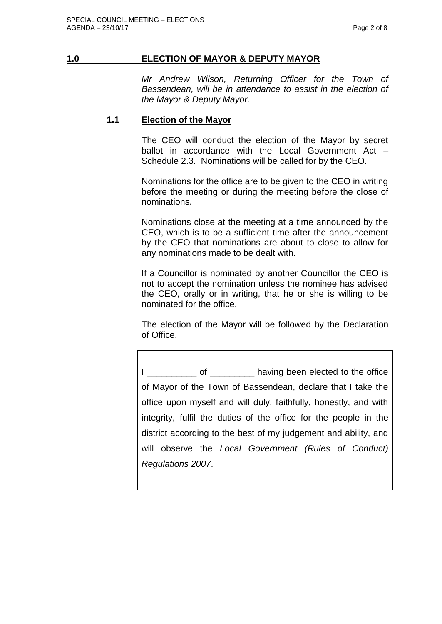#### **1.0 ELECTION OF MAYOR & DEPUTY MAYOR**

*Mr Andrew Wilson, Returning Officer for the Town of Bassendean, will be in attendance to assist in the election of the Mayor & Deputy Mayor.*

#### **1.1 Election of the Mayor**

The CEO will conduct the election of the Mayor by secret ballot in accordance with the Local Government Act -Schedule 2.3. Nominations will be called for by the CEO.

Nominations for the office are to be given to the CEO in writing before the meeting or during the meeting before the close of nominations.

Nominations close at the meeting at a time announced by the CEO, which is to be a sufficient time after the announcement by the CEO that nominations are about to close to allow for any nominations made to be dealt with.

If a Councillor is nominated by another Councillor the CEO is not to accept the nomination unless the nominee has advised the CEO, orally or in writing, that he or she is willing to be nominated for the office.

The election of the Mayor will be followed by the Declaration of Office.

I cof contract of the having been elected to the office of Mayor of the Town of Bassendean, declare that I take the office upon myself and will duly, faithfully, honestly, and with integrity, fulfil the duties of the office for the people in the district according to the best of my judgement and ability, and will observe the *Local Government (Rules of Conduct) Regulations 2007*.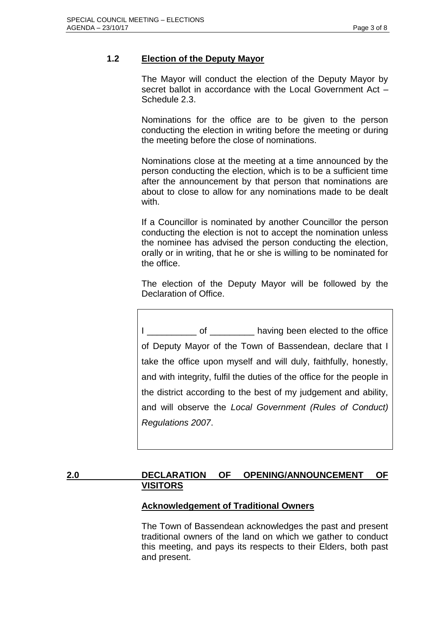# **1.2 Election of the Deputy Mayor**

The Mayor will conduct the election of the Deputy Mayor by secret ballot in accordance with the Local Government Act -Schedule 2.3.

Nominations for the office are to be given to the person conducting the election in writing before the meeting or during the meeting before the close of nominations.

Nominations close at the meeting at a time announced by the person conducting the election, which is to be a sufficient time after the announcement by that person that nominations are about to close to allow for any nominations made to be dealt with.

If a Councillor is nominated by another Councillor the person conducting the election is not to accept the nomination unless the nominee has advised the person conducting the election, orally or in writing, that he or she is willing to be nominated for the office.

The election of the Deputy Mayor will be followed by the Declaration of Office.

I cofe and the office having been elected to the office of Deputy Mayor of the Town of Bassendean, declare that I take the office upon myself and will duly, faithfully, honestly, and with integrity, fulfil the duties of the office for the people in the district according to the best of my judgement and ability, and will observe the *Local Government (Rules of Conduct) Regulations 2007*.

# **2.0 DECLARATION OF OPENING/ANNOUNCEMENT OF VISITORS**

# **Acknowledgement of Traditional Owners**

The Town of Bassendean acknowledges the past and present traditional owners of the land on which we gather to conduct this meeting, and pays its respects to their Elders, both past and present.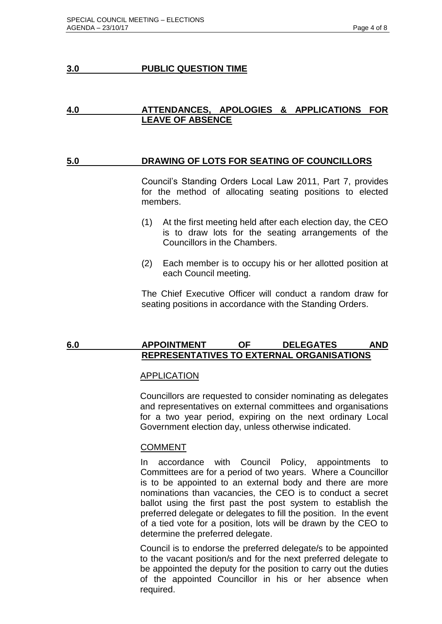#### **3.0 PUBLIC QUESTION TIME**

#### **4.0 ATTENDANCES, APOLOGIES & APPLICATIONS FOR LEAVE OF ABSENCE**

#### **5.0 DRAWING OF LOTS FOR SEATING OF COUNCILLORS**

Council's Standing Orders Local Law 2011, Part 7, provides for the method of allocating seating positions to elected members.

- (1) At the first meeting held after each election day, the CEO is to draw lots for the seating arrangements of the Councillors in the Chambers.
- (2) Each member is to occupy his or her allotted position at each Council meeting.

The Chief Executive Officer will conduct a random draw for seating positions in accordance with the Standing Orders.

#### **6.0 APPOINTMENT OF DELEGATES AND REPRESENTATIVES TO EXTERNAL ORGANISATIONS**

#### **APPLICATION**

Councillors are requested to consider nominating as delegates and representatives on external committees and organisations for a two year period, expiring on the next ordinary Local Government election day, unless otherwise indicated.

#### **COMMENT**

In accordance with Council Policy, appointments to Committees are for a period of two years. Where a Councillor is to be appointed to an external body and there are more nominations than vacancies, the CEO is to conduct a secret ballot using the first past the post system to establish the preferred delegate or delegates to fill the position. In the event of a tied vote for a position, lots will be drawn by the CEO to determine the preferred delegate.

Council is to endorse the preferred delegate/s to be appointed to the vacant position/s and for the next preferred delegate to be appointed the deputy for the position to carry out the duties of the appointed Councillor in his or her absence when required.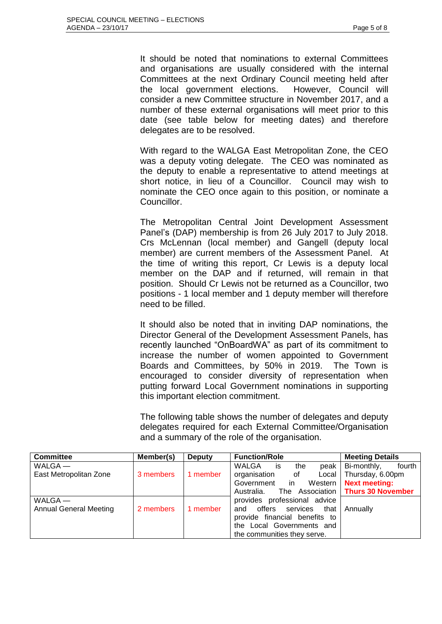It should be noted that nominations to external Committees and organisations are usually considered with the internal Committees at the next Ordinary Council meeting held after the local government elections. However, Council will consider a new Committee structure in November 2017, and a number of these external organisations will meet prior to this date (see table below for meeting dates) and therefore delegates are to be resolved.

With regard to the WALGA East Metropolitan Zone, the CEO was a deputy voting delegate. The CEO was nominated as the deputy to enable a representative to attend meetings at short notice, in lieu of a Councillor. Council may wish to nominate the CEO once again to this position, or nominate a Councillor.

The Metropolitan Central Joint Development Assessment Panel's (DAP) membership is from 26 July 2017 to July 2018. Crs McLennan (local member) and Gangell (deputy local member) are current members of the Assessment Panel. At the time of writing this report, Cr Lewis is a deputy local member on the DAP and if returned, will remain in that position. Should Cr Lewis not be returned as a Councillor, two positions - 1 local member and 1 deputy member will therefore need to be filled.

It should also be noted that in inviting DAP nominations, the Director General of the Development Assessment Panels, has recently launched "OnBoardWA" as part of its commitment to increase the number of women appointed to Government Boards and Committees, by 50% in 2019. The Town is encouraged to consider diversity of representation when putting forward Local Government nominations in supporting this important election commitment.

The following table shows the number of delegates and deputy delegates required for each External Committee/Organisation and a summary of the role of the organisation.

| <b>Committee</b>              | Member(s) | <b>Deputy</b> | <b>Function/Role</b>          | <b>Meeting Details</b>              |
|-------------------------------|-----------|---------------|-------------------------------|-------------------------------------|
| $WALGA$ —                     |           |               | WALGA<br>peak<br>the<br>İS    | Bi-monthly,<br>fourth               |
| East Metropolitan Zone        | 3 members | member        | organisation<br>Local<br>of   | Thursday, 6.00pm                    |
|                               |           |               | Government in<br>Western      | <b>Next meeting:</b>                |
|                               |           |               | Australia.                    | The Association   Thurs 30 November |
| $WALGA$ —                     |           |               | provides professional advice  |                                     |
| <b>Annual General Meeting</b> | 2 members | member        | and offers services<br>that I | Annually                            |
|                               |           |               | provide financial benefits to |                                     |
|                               |           |               | the Local Governments and     |                                     |
|                               |           |               | the communities they serve.   |                                     |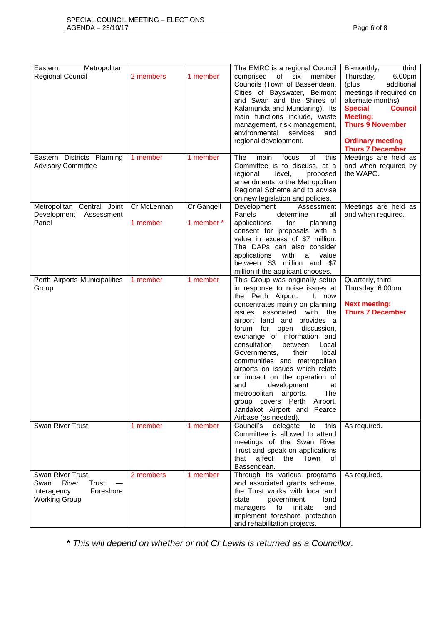| Metropolitan<br>Eastern                                                                        |                         |                          | The EMRC is a regional Council                                                                                                                                                                                                                                                                                                                                                                                                                                                                                                                                                                          | third<br>Bi-monthly,                                                                                                                                                                                                               |
|------------------------------------------------------------------------------------------------|-------------------------|--------------------------|---------------------------------------------------------------------------------------------------------------------------------------------------------------------------------------------------------------------------------------------------------------------------------------------------------------------------------------------------------------------------------------------------------------------------------------------------------------------------------------------------------------------------------------------------------------------------------------------------------|------------------------------------------------------------------------------------------------------------------------------------------------------------------------------------------------------------------------------------|
| <b>Regional Council</b>                                                                        | 2 members               | 1 member                 | comprised<br>of six<br>member<br>Councils (Town of Bassendean,<br>Cities of Bayswater, Belmont<br>and Swan and the Shires of<br>Kalamunda and Mundaring). Its<br>main functions include, waste<br>management, risk management,<br>environmental<br>services<br>and<br>regional development.                                                                                                                                                                                                                                                                                                             | Thursday,<br>6.00pm<br>(plus<br>additional<br>meetings if required on<br>alternate months)<br><b>Special</b><br><b>Council</b><br><b>Meeting:</b><br><b>Thurs 9 November</b><br><b>Ordinary meeting</b><br><b>Thurs 7 December</b> |
| Eastern Districts Planning<br><b>Advisory Committee</b>                                        | 1 member                | 1 member                 | <b>The</b><br>focus<br>of<br>this<br>main<br>Committee is to discuss, at a<br>regional<br>level,<br>proposed<br>amendments to the Metropolitan<br>Regional Scheme and to advise<br>on new legislation and policies.                                                                                                                                                                                                                                                                                                                                                                                     | Meetings are held as<br>and when required by<br>the WAPC.                                                                                                                                                                          |
| Metropolitan Central Joint<br>Development<br>Assessment<br>Panel                               | Cr McLennan<br>1 member | Cr Gangell<br>1 member * | Development<br>Assessment<br>Panels<br>all<br>determine<br>applications<br>for<br>planning<br>consent for proposals with a<br>value in excess of \$7 million.<br>The DAPs can also consider<br>applications<br>with<br>value<br>a<br>between \$3 million and \$7<br>million if the applicant chooses.                                                                                                                                                                                                                                                                                                   | Meetings are held as<br>and when required.                                                                                                                                                                                         |
| Perth Airports Municipalities<br>Group                                                         | 1 member                | 1 member                 | This Group was originally setup<br>in response to noise issues at<br>the Perth Airport.<br>It now<br>concentrates mainly on planning<br>associated with<br>the<br>issues<br>airport land and provides a<br>forum<br>for open<br>discussion,<br>exchange of information and<br>consultation<br>between<br>Local<br>local<br>Governments,<br>their<br>communities and metropolitan<br>airports on issues which relate<br>or impact on the operation of<br>development<br>and<br>at<br>The<br>metropolitan airports.<br>group covers Perth Airport,<br>Jandakot Airport and Pearce<br>Airbase (as needed). | Quarterly, third<br>Thursday, 6.00pm<br><b>Next meeting:</b><br><b>Thurs 7 December</b>                                                                                                                                            |
| Swan River Trust                                                                               | 1 member                | 1 member                 | Council's delegate<br>this<br>to<br>Committee is allowed to attend<br>meetings of the Swan River<br>Trust and speak on applications<br>that<br>affect<br>the<br>Town<br>of<br>Bassendean.                                                                                                                                                                                                                                                                                                                                                                                                               | As required.                                                                                                                                                                                                                       |
| Swan River Trust<br>River<br>Swan<br>Trust<br>Foreshore<br>Interagency<br><b>Working Group</b> | 2 members               | 1 member                 | Through its various programs<br>and associated grants scheme,<br>the Trust works with local and<br>state<br>government<br>land<br>managers<br>to<br>initiate<br>and<br>implement foreshore protection<br>and rehabilitation projects.                                                                                                                                                                                                                                                                                                                                                                   | As required.                                                                                                                                                                                                                       |

\* *This will depend on whether or not Cr Lewis is returned as a Councillor.*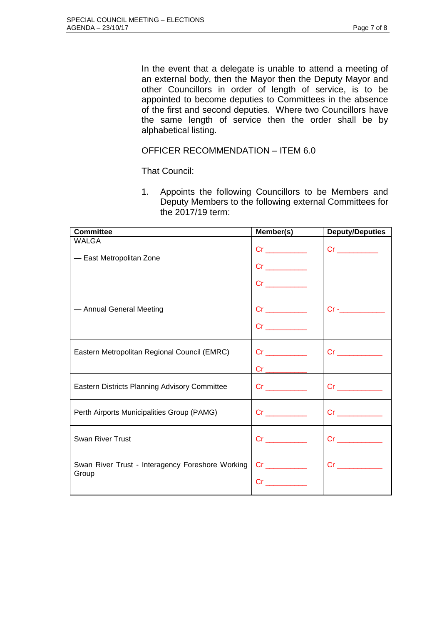In the event that a delegate is unable to attend a meeting of an external body, then the Mayor then the Deputy Mayor and other Councillors in order of length of service, is to be appointed to become deputies to Committees in the absence of the first and second deputies. Where two Councillors have the same length of service then the order shall be by alphabetical listing.

#### OFFICER RECOMMENDATION – ITEM 6.0

That Council:

1. Appoints the following Councillors to be Members and Deputy Members to the following external Committees for the 2017/19 term:

| <b>Committee</b>                                          | Member(s)                                                                                                                                                                                                                           | <b>Deputy/Deputies</b>                                                                                                                                                                                                              |
|-----------------------------------------------------------|-------------------------------------------------------------------------------------------------------------------------------------------------------------------------------------------------------------------------------------|-------------------------------------------------------------------------------------------------------------------------------------------------------------------------------------------------------------------------------------|
| <b>WALGA</b><br>- East Metropolitan Zone                  |                                                                                                                                                                                                                                     |                                                                                                                                                                                                                                     |
| - Annual General Meeting                                  | $Cr \qquad \qquad \qquad \qquad$                                                                                                                                                                                                    | $Cr  \blacksquare$                                                                                                                                                                                                                  |
| Eastern Metropolitan Regional Council (EMRC)              | $Cr \underline{\hspace{2cm}}$                                                                                                                                                                                                       |                                                                                                                                                                                                                                     |
| Eastern Districts Planning Advisory Committee             | <b>Critics</b> in the control                                                                                                                                                                                                       |                                                                                                                                                                                                                                     |
| Perth Airports Municipalities Group (PAMG)                | <b>Critics</b> in the control of the control of the control of the control of the control of the control of the control of the control of the control of the control of the control of the control of the control of the control of | <b>Critics</b> in the contract of the contract of the contract of the contract of the contract of the contract of the contract of the contract of the contract of the contract of the contract of the contract of the contract of t |
| <b>Swan River Trust</b>                                   |                                                                                                                                                                                                                                     | $Cr \_$                                                                                                                                                                                                                             |
| Swan River Trust - Interagency Foreshore Working<br>Group | $Cr_$<br><b>Critical</b> Critical Critical                                                                                                                                                                                          |                                                                                                                                                                                                                                     |